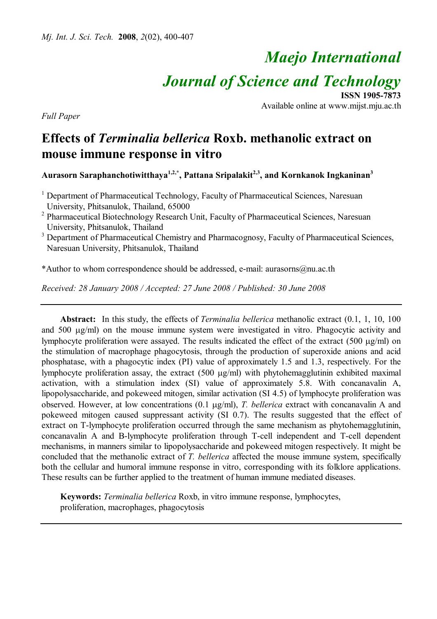# *Maejo International*

*Journal of Science and Technology*

**ISSN 1905-7873** Available online at www.mijst.mju.ac.th

*Full Paper*

## **Effects of** *Terminalia bellerica* **Roxb. methanolic extract on mouse immune response in vitro**

**Aurasorn Saraphanchotiwitthaya1,2,\*, Pattana Sripalakit2,3 , and Kornkanok Ingkaninan<sup>3</sup>**

<sup>1</sup> Department of Pharmaceutical Technology, Faculty of Pharmaceutical Sciences, Naresuan University, Phitsanulok, Thailand, 65000

<sup>2</sup> Pharmaceutical Biotechnology Research Unit, Faculty of Pharmaceutical Sciences, Naresuan University, Phitsanulok, Thailand

<sup>3</sup> Department of Pharmaceutical Chemistry and Pharmacognosy, Faculty of Pharmaceutical Sciences, Naresuan University, Phitsanulok, Thailand

\*Author to whom correspondence should be addressed, e-mail: aurasorns@nu.ac.th

*Received: 28 January 2008 / Accepted: 27 June 2008 / Published: 30 June 2008*

**Abstract:** In this study, the effects of *Terminalia bellerica* methanolic extract (0.1, 1, 10, 100 and  $500 \mu g/ml$ ) on the mouse immune system were investigated in vitro. Phagocytic activity and lymphocyte proliferation were assayed. The results indicated the effect of the extract (500  $\mu$ g/ml) on the stimulation of macrophage phagocytosis, through the production of superoxide anions and acid phosphatase, with a phagocytic index (PI) value of approximately 1.5 and 1.3, respectively. For the lymphocyte proliferation assay, the extract  $(500 \mu g/ml)$  with phytohemagglutinin exhibited maximal activation, with a stimulation index (SI) value of approximately 5.8. With concanavalin A, lipopolysaccharide, and pokeweed mitogen, similar activation (SI 4.5) of lymphocyte proliferation was observed. However, at low concentrations (0.1  $\mu$ g/ml), *T. bellerica* extract with concanavalin A and pokeweed mitogen caused suppressant activity (SI 0.7). The results suggested that the effect of extract on T-lymphocyte proliferation occurred through the same mechanism as phytohemagglutinin, concanavalin A and B-lymphocyte proliferation through T-cell independent and T-cell dependent mechanisms, in manners similar to lipopolysaccharide and pokeweed mitogen respectively. It might be concluded that the methanolic extract of *T. bellerica* affected the mouse immune system, specifically both the cellular and humoral immune response in vitro, corresponding with its folklore applications. These results can be further applied to the treatment of human immune mediated diseases.

**Keywords:** *Terminalia bellerica* Roxb, in vitro immune response, lymphocytes, proliferation, macrophages, phagocytosis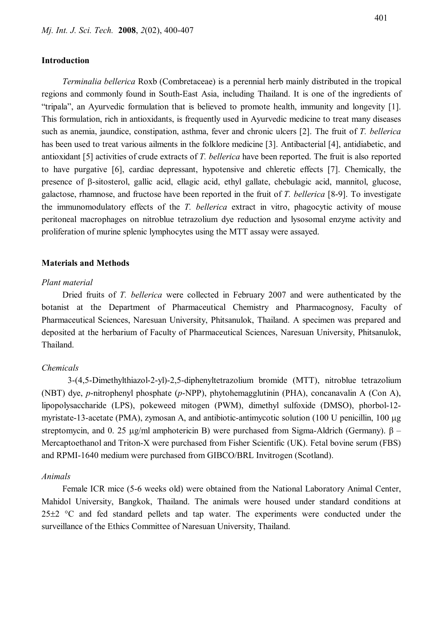## **Introduction**

*Terminalia bellerica* Roxb (Combretaceae) is a perennial herb mainly distributed in the tropical regions and commonly found in South-East Asia, including Thailand. It is one of the ingredients of "tripala", an Ayurvedic formulation that is believed to promote health, immunity and longevity [1]. This formulation, rich in antioxidants, is frequently used in Ayurvedic medicine to treat many diseases such as anemia, jaundice, constipation, asthma, fever and chronic ulcers [2]. The fruit of *T. bellerica* has been used to treat various ailments in the folklore medicine [3]. Antibacterial [4], antidiabetic, and antioxidant [5] activities of crude extracts of *T. bellerica* have been reported. The fruit is also reported to have purgative [6], cardiac depressant, hypotensive and chleretic effects [7]. Chemically, the presence of  $\beta$ -sitosterol, gallic acid, ellagic acid, ethyl gallate, chebulagic acid, mannitol, glucose, galactose, rhamnose, and fructose have been reported in the fruit of *T. bellerica* [8-9]. To investigate the immunomodulatory effects of the *T. bellerica* extract in vitro, phagocytic activity of mouse peritoneal macrophages on nitroblue tetrazolium dye reduction and lysosomal enzyme activity and proliferation of murine splenic lymphocytes using the MTT assay were assayed.

### **Materials and Methods**

#### *Plant material*

Dried fruits of *T. bellerica* were collected in February 2007 and were authenticated by the botanist at the Department of Pharmaceutical Chemistry and Pharmacognosy, Faculty of Pharmaceutical Sciences, Naresuan University, Phitsanulok, Thailand. A specimen was prepared and deposited at the herbarium of Faculty of Pharmaceutical Sciences, Naresuan University, Phitsanulok, Thailand.

## *Chemicals*

3-(4,5-Dimethylthiazol-2-yl)-2,5-diphenyltetrazolium bromide (MTT), nitroblue tetrazolium (NBT) dye, *p*-nitrophenyl phosphate (*p*-NPP), phytohemagglutinin (PHA), concanavalin A (Con A), lipopolysaccharide (LPS), pokeweed mitogen (PWM), dimethyl sulfoxide (DMSO), phorbol-12 myristate-13-acetate (PMA), zymosan A, and antibiotic-antimycotic solution (100 U penicillin, 100  $\mu$ g streptomycin, and 0. 25  $\mu$ g/ml amphotericin B) were purchased from Sigma-Aldrich (Germany).  $\beta$  – Mercaptoethanol and Triton-X were purchased from Fisher Scientific (UK). Fetal bovine serum (FBS) and RPMI-1640 medium were purchased from GIBCO/BRL Invitrogen (Scotland).

#### *Animals*

Female ICR mice (5-6 weeks old) were obtained from the National Laboratory Animal Center, Mahidol University, Bangkok, Thailand. The animals were housed under standard conditions at  $25\pm2$  °C and fed standard pellets and tap water. The experiments were conducted under the surveillance of the Ethics Committee of Naresuan University, Thailand.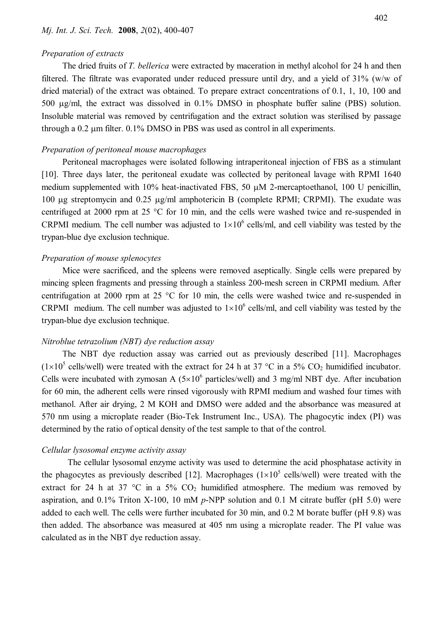#### *Preparation of extracts*

The dried fruits of *T. bellerica* were extracted by maceration in methyl alcohol for 24 h and then filtered. The filtrate was evaporated under reduced pressure until dry, and a yield of 31% (w/w of dried material) of the extract was obtained. To prepare extract concentrations of 0.1, 1, 10, 100 and 500 µg/ml, the extract was dissolved in 0.1% DMSO in phosphate buffer saline (PBS) solution. Insoluble material was removed by centrifugation and the extract solution was sterilised by passage through a  $0.2 \mu m$  filter.  $0.1\%$  DMSO in PBS was used as control in all experiments.

## *Preparation of peritoneal mouse macrophages*

Peritoneal macrophages were isolated following intraperitoneal injection of FBS as a stimulant [10]. Three days later, the peritoneal exudate was collected by peritoneal lavage with RPMI 1640 medium supplemented with 10% heat-inactivated FBS, 50  $\mu$ M 2-mercaptoethanol, 100 U penicillin, 100  $\mu$ g streptomycin and 0.25  $\mu$ g/ml amphotericin B (complete RPMI; CRPMI). The exudate was centrifuged at 2000 rpm at 25  $\degree$ C for 10 min, and the cells were washed twice and re-suspended in CRPMI medium. The cell number was adjusted to  $1\times10^6$  cells/ml, and cell viability was tested by the trypan-blue dye exclusion technique.

### *Preparation of mouse splenocytes*

Mice were sacrificed, and the spleens were removed aseptically. Single cells were prepared by mincing spleen fragments and pressing through a stainless 200-mesh screen in CRPMI medium. After centrifugation at 2000 rpm at 25  $\degree$ C for 10 min, the cells were washed twice and re-suspended in CRPMI medium. The cell number was adjusted to  $1\times10^6$  cells/ml, and cell viability was tested by the trypan-blue dye exclusion technique.

## *Nitroblue tetrazolium (NBT) dye reduction assay*

The NBT dye reduction assay was carried out as previously described [11]. Macrophages  $(1\times10^5 \text{ cells/well})$  were treated with the extract for 24 h at 37 °C in a 5% CO<sub>2</sub> humidified incubator. Cells were incubated with zymosan A  $(5\times10^{6}$  particles/well) and 3 mg/ml NBT dye. After incubation for 60 min, the adherent cells were rinsed vigorously with RPMI medium and washed four times with methanol. After air drying, 2 M KOH and DMSO were added and the absorbance was measured at 570 nm using a microplate reader (Bio-Tek Instrument Inc., USA). The phagocytic index (PI) was determined by the ratio of optical density of the test sample to that of the control.

## *Cellular lysosomal enzyme activity assay*

The cellular lysosomal enzyme activity was used to determine the acid phosphatase activity in the phagocytes as previously described [12]. Macrophages  $(1\times10^5 \text{ cells/well})$  were treated with the extract for 24 h at 37 °C in a 5%  $CO<sub>2</sub>$  humidified atmosphere. The medium was removed by aspiration, and 0.1% Triton X-100, 10 mM *p*-NPP solution and 0.1 M citrate buffer (pH 5.0) were added to each well. The cells were further incubated for 30 min, and 0.2 M borate buffer (pH 9.8) was then added. The absorbance was measured at 405 nm using a microplate reader. The PI value was calculated as in the NBT dye reduction assay.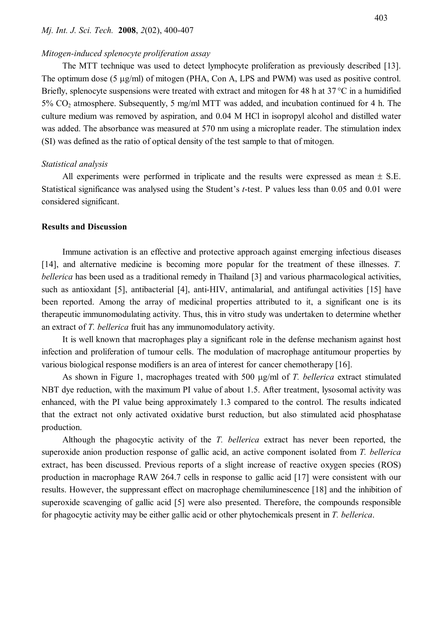#### *Mj. Int. J. Sci. Tech.* **2008**, *2*(02), 400-407

## *Mitogen-induced splenocyte proliferation assay*

The MTT technique was used to detect lymphocyte proliferation as previously described [13]. The optimum dose  $(5 \mu g/ml)$  of mitogen (PHA, Con A, LPS and PWM) was used as positive control. Briefly, splenocyte suspensions were treated with extract and mitogen for 48 h at  $37^{\circ}$ C in a humidified 5% CO2 atmosphere. Subsequently, 5 mg/ml MTT was added, and incubation continued for 4 h. The culture medium was removed by aspiration, and 0.04 M HCl in isopropyl alcohol and distilled water was added. The absorbance was measured at 570 nm using a microplate reader. The stimulation index (SI) was defined as the ratio of optical density of the test sample to that of mitogen.

#### *Statistical analysis*

All experiments were performed in triplicate and the results were expressed as mean  $\pm$  S.E. Statistical significance was analysed using the Student's *t*-test. P values less than 0.05 and 0.01 were considered significant.

#### **Results and Discussion**

Immune activation is an effective and protective approach against emerging infectious diseases [14], and alternative medicine is becoming more popular for the treatment of these illnesses. *T. bellerica* has been used as a traditional remedy in Thailand [3] and various pharmacological activities, such as antioxidant [5], antibacterial [4], anti-HIV, antimalarial, and antifungal activities [15] have been reported. Among the array of medicinal properties attributed to it, a significant one is its therapeutic immunomodulating activity. Thus, this in vitro study was undertaken to determine whether an extract of *T. bellerica* fruit has any immunomodulatory activity.

It is well known that macrophages play a significant role in the defense mechanism against host infection and proliferation of tumour cells. The modulation of macrophage antitumour properties by various biological response modifiers is an area of interest for cancer chemotherapy [16].

As shown in Figure 1, macrophages treated with 500  $\mu$ g/ml of *T. bellerica* extract stimulated NBT dye reduction, with the maximum PI value of about 1.5. After treatment, lysosomal activity was enhanced, with the PI value being approximately 1.3 compared to the control. The results indicated that the extract not only activated oxidative burst reduction, but also stimulated acid phosphatase production.

Although the phagocytic activity of the *T. bellerica* extract has never been reported, the superoxide anion production response of gallic acid, an active component isolated from *T. bellerica* extract, has been discussed. Previous reports of a slight increase of reactive oxygen species (ROS) production in macrophage RAW 264.7 cells in response to gallic acid [17] were consistent with our results. However, the suppressant effect on macrophage chemiluminescence [18] and the inhibition of superoxide scavenging of gallic acid [5] were also presented. Therefore, the compounds responsible for phagocytic activity may be either gallic acid or other phytochemicals present in *T. bellerica*.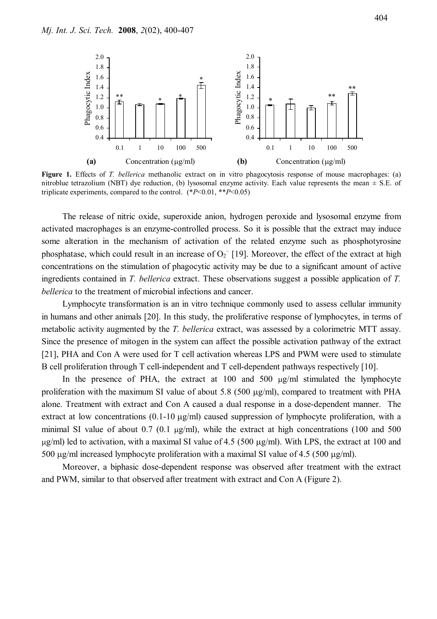

**Figure 1.** Effects of *T. bellerica* methanolic extract on in vitro phagocytosis response of mouse macrophages: (a) nitroblue tetrazolium (NBT) dye reduction, (b) lysosomal enzyme activity. Each value represents the mean  $\pm$  S.E. of triplicate experiments, compared to the control. (\**P*<0.01, \*\**P*<0.05)

The release of nitric oxide, superoxide anion, hydrogen peroxide and lysosomal enzyme from activated macrophages is an enzyme-controlled process. So it is possible that the extract may induce some alteration in the mechanism of activation of the related enzyme such as phosphotyrosine phosphatase, which could result in an increase of  $O_2$ <sup>-</sup> [19]. Moreover, the effect of the extract at high concentrations on the stimulation of phagocytic activity may be due to a significant amount of active ingredients contained in *T. bellerica* extract. These observations suggest a possible application of *T. bellerica* to the treatment of microbial infections and cancer.

Lymphocyte transformation is an in vitro technique commonly used to assess cellular immunity in humans and other animals [20]. In this study, the proliferative response of lymphocytes, in terms of metabolic activity augmented by the *T. bellerica* extract, was assessed by a colorimetric MTT assay. Since the presence of mitogen in the system can affect the possible activation pathway of the extract [21], PHA and Con A were used for T cell activation whereas LPS and PWM were used to stimulate B cell proliferation through T cell-independent and T cell-dependent pathways respectively [10].

In the presence of PHA, the extract at  $100$  and  $500 \mu g/ml$  stimulated the lymphocyte proliferation with the maximum SI value of about 5.8 (500  $\mu$ g/ml), compared to treatment with PHA alone. Treatment with extract and Con A caused a dual response in a dose-dependent manner. The extract at low concentrations  $(0.1-10 \mu g/ml)$  caused suppression of lymphocyte proliferation, with a minimal SI value of about  $0.7$  ( $0.1 \mu g/ml$ ), while the extract at high concentrations (100 and 500  $\mu$ g/ml) led to activation, with a maximal SI value of 4.5 (500  $\mu$ g/ml). With LPS, the extract at 100 and 500  $\mu$ g/ml increased lymphocyte proliferation with a maximal SI value of 4.5 (500  $\mu$ g/ml).

Moreover, a biphasic dose-dependent response was observed after treatment with the extract and PWM, similar to that observed after treatment with extract and Con A (Figure 2).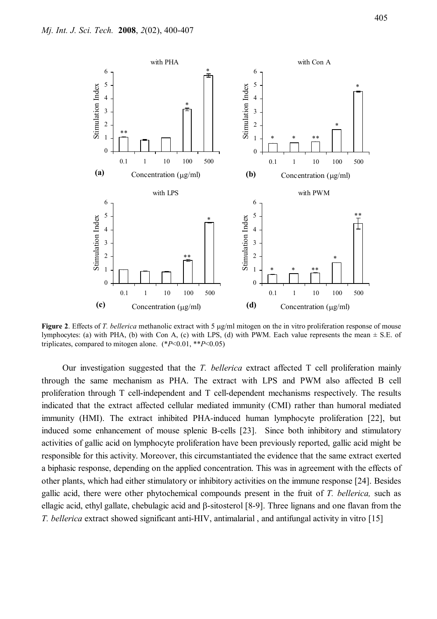

**Figure 2.** Effects of *T. bellerica* methanolic extract with 5  $\mu$ g/ml mitogen on the in vitro proliferation response of mouse lymphocytes: (a) with PHA, (b) with Con A, (c) with LPS, (d) with PWM. Each value represents the mean  $\pm$  S.E. of triplicates, compared to mitogen alone. (\**P*<0.01, \*\**P*<0.05)

Our investigation suggested that the *T. bellerica* extract affected T cell proliferation mainly through the same mechanism as PHA. The extract with LPS and PWM also affected B cell proliferation through T cell-independent and T cell-dependent mechanisms respectively. The results indicated that the extract affected cellular mediated immunity (CMI) rather than humoral mediated immunity (HMI). The extract inhibited PHA-induced human lymphocyte proliferation [22], but induced some enhancement of mouse splenic B-cells [23]. Since both inhibitory and stimulatory activities of gallic acid on lymphocyte proliferation have been previously reported, gallic acid might be responsible for this activity. Moreover, this circumstantiated the evidence that the same extract exerted a biphasic response, depending on the applied concentration. This was in agreement with the effects of other plants, which had either stimulatory or inhibitory activities on the immune response [24]. Besides gallic acid, there were other phytochemical compounds present in the fruit of *T. bellerica,* such as ellagic acid, ethyl gallate, chebulagic acid and  $\beta$ -sitosterol [8-9]. Three lignans and one flavan from the *T. bellerica* extract showed significant anti-HIV, antimalarial , and antifungal activity in vitro [15]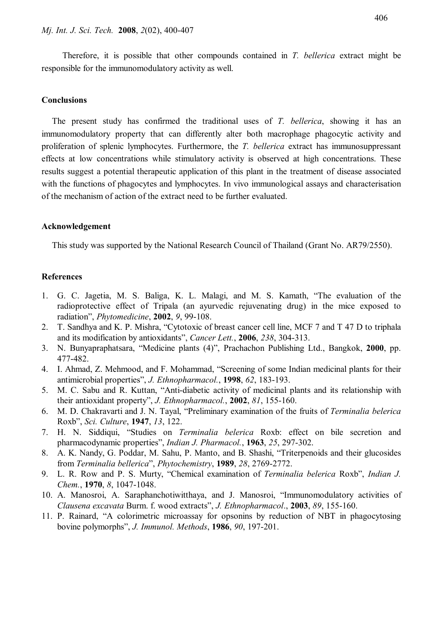Therefore, it is possible that other compounds contained in *T. bellerica* extract might be responsible for the immunomodulatory activity as well.

### **Conclusions**

The present study has confirmed the traditional uses of *T. bellerica*, showing it has an immunomodulatory property that can differently alter both macrophage phagocytic activity and proliferation of splenic lymphocytes. Furthermore, the *T. bellerica* extract has immunosuppressant effects at low concentrations while stimulatory activity is observed at high concentrations. These results suggest a potential therapeutic application of this plant in the treatment of disease associated with the functions of phagocytes and lymphocytes. In vivo immunological assays and characterisation of the mechanism of action of the extract need to be further evaluated.

## **Acknowledgement**

This study was supported by the National Research Council of Thailand (Grant No. AR79/2550).

## **References**

- 1. G. C. Jagetia, M. S. Baliga, K. L. Malagi, and M. S. Kamath, "The evaluation of the radioprotective effect of Tripala (an ayurvedic rejuvenating drug) in the mice exposed to radiation", *Phytomedicine*, **2002**, *9*, 99-108.
- 2. T. Sandhya and K. P. Mishra, "Cytotoxic of breast cancer cell line, MCF 7 and T 47 D to triphala and its modification by antioxidants", *Cancer Lett.*, **2006**, *238*, 304-313.
- 3. N. Bunyapraphatsara, "Medicine plants (4)", Prachachon Publishing Ltd., Bangkok, **2000**, pp. 477-482.
- 4. I. Ahmad, Z. Mehmood, and F. Mohammad, "Screening of some Indian medicinal plants for their antimicrobial properties", *J. Ethnopharmacol.*, **1998**, *62*, 183-193.
- 5. M. C. Sabu and R. Kuttan, "Anti-diabetic activity of medicinal plants and its relationship with their antioxidant property", *J. Ethnopharmacol.*, **2002**, *81*, 155-160.
- 6. M. D. Chakravarti and J. N. Tayal, "Preliminary examination of the fruits of *Terminalia belerica*  Roxb", *Sci. Culture*, **1947**, *13*, 122.
- 7. H. N. Siddiqui, "Studies on *Terminalia belerica* Roxb: effect on bile secretion and pharmacodynamic properties", *Indian J. Pharmacol.*, **1963**, *25*, 297-302.
- 8. A. K. Nandy, G. Poddar, M. Sahu, P. Manto, and B. Shashi, "Triterpenoids and their glucosides from *Terminalia bellerica*", *Phytochemistry*, **1989**, *28*, 2769-2772.
- 9. L. R. Row and P. S. Murty, "Chemical examination of *Terminalia belerica* Roxb", *Indian J. Chem.*, **1970**, *8*, 1047-1048.
- 10. A. Manosroi, A. Saraphanchotiwitthaya, and J. Manosroi, "Immunomodulatory activities of *Clausena excavata* Burm. f. wood extracts", *J. Ethnopharmacol*., **2003**, *89*, 155-160.
- 11. P. Rainard, "A colorimetric microassay for opsonins by reduction of NBT in phagocytosing bovine polymorphs", *J. Immunol. Methods*, **1986**, *90*, 197-201.